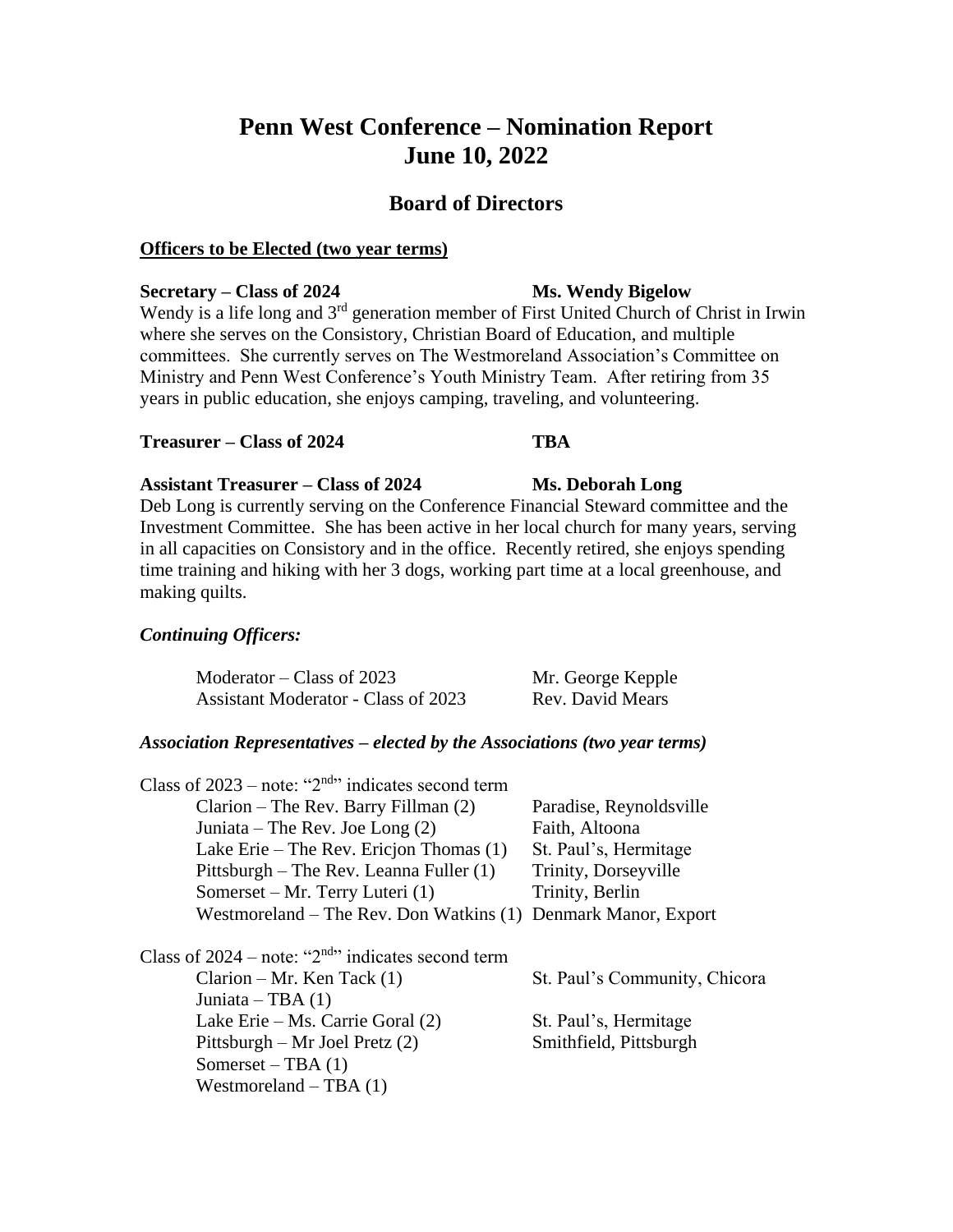# **Penn West Conference – Nomination Report June 10, 2022**

# **Board of Directors**

# **Officers to be Elected (two year terms)**

## **Secretary – Class of 2024 Ms. Wendy Bigelow**

Wendy is a life long and 3<sup>rd</sup> generation member of First United Church of Christ in Irwin where she serves on the Consistory, Christian Board of Education, and multiple committees. She currently serves on The Westmoreland Association's Committee on Ministry and Penn West Conference's Youth Ministry Team. After retiring from 35 years in public education, she enjoys camping, traveling, and volunteering.

# **Treasurer – Class of 2024 TBA**

**Assistant Treasurer – Class of 2024 Ms. Deborah Long** Deb Long is currently serving on the Conference Financial Steward committee and the Investment Committee. She has been active in her local church for many years, serving in all capacities on Consistory and in the office. Recently retired, she enjoys spending time training and hiking with her 3 dogs, working part time at a local greenhouse, and making quilts.

# *Continuing Officers:*

| Moderator – Class of 2023           | Mr. George Kepple |
|-------------------------------------|-------------------|
| Assistant Moderator - Class of 2023 | Rev. David Mears  |

# *Association Representatives – elected by the Associations (two year terms)*

| Class of $2023$ – note: "2 <sup>nd</sup> " indicates second term |                               |
|------------------------------------------------------------------|-------------------------------|
| $Clarion$ – The Rev. Barry Fillman $(2)$                         | Paradise, Reynoldsville       |
| Juniata – The Rev. Joe Long $(2)$                                | Faith, Altoona                |
| Lake Erie – The Rev. Ericjon Thomas $(1)$                        | St. Paul's, Hermitage         |
| Pittsburgh – The Rev. Leanna Fuller (1)                          | Trinity, Dorseyville          |
| Somerset – Mr. Terry Luteri (1)                                  | Trinity, Berlin               |
| Westmoreland – The Rev. Don Watkins $(1)$                        | Denmark Manor, Export         |
| Class of $2024$ – note: "2 <sup>nd</sup> " indicates second term |                               |
| $Clarion - Mr.$ Ken Tack $(1)$                                   | St. Paul's Community, Chicora |
| Juniata – TBA $(1)$                                              |                               |
| Lake Erie – Ms. Carrie Goral (2)                                 | St. Paul's, Hermitage         |
| Pittsburgh – Mr Joel Pretz $(2)$                                 | Smithfield, Pittsburgh        |
| Somerset – TBA $(1)$                                             |                               |
| Westmoreland $-$ TBA $(1)$                                       |                               |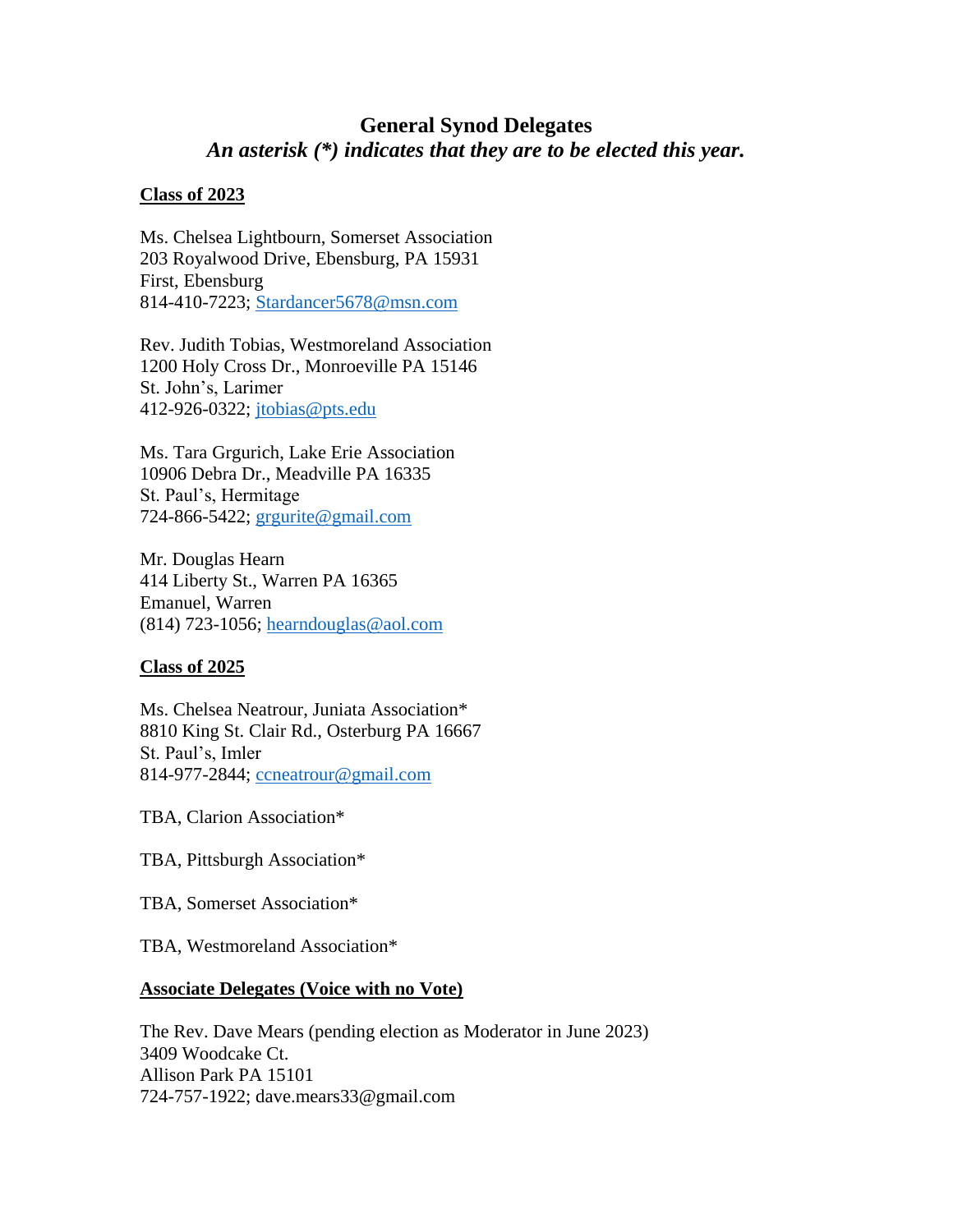# **General Synod Delegates** *An asterisk (\*) indicates that they are to be elected this year.*

### **Class of 2023**

Ms. Chelsea Lightbourn, Somerset Association 203 Royalwood Drive, Ebensburg, PA 15931 First, Ebensburg 814-410-7223; [Stardancer5678@msn.com](mailto:Stardancer5678@msn.com)

Rev. Judith Tobias, Westmoreland Association 1200 Holy Cross Dr., Monroeville PA 15146 St. John's, Larimer 412-926-0322; [jtobias@pts.edu](mailto:jtobias@pts.edu)

Ms. Tara Grgurich, Lake Erie Association 10906 Debra Dr., Meadville PA 16335 St. Paul's, Hermitage 724-866-5422; [grgurite@gmail.com](mailto:grgurite@gmail.com)

Mr. Douglas Hearn 414 Liberty St., Warren PA 16365 Emanuel, Warren (814) 723-1056; [hearndouglas@aol.com](mailto:hearndouglas@aol.com)

# **Class of 2025**

Ms. Chelsea Neatrour, Juniata Association\* 8810 King St. Clair Rd., Osterburg PA 16667 St. Paul's, Imler 814-977-2844; [ccneatrour@gmail.com](mailto:ccneatrour@gmail.com)

TBA, Clarion Association\*

TBA, Pittsburgh Association\*

TBA, Somerset Association\*

TBA, Westmoreland Association\*

# **Associate Delegates (Voice with no Vote)**

The Rev. Dave Mears (pending election as Moderator in June 2023) 3409 Woodcake Ct. Allison Park PA 15101 724-757-1922; dave.mears33@gmail.com